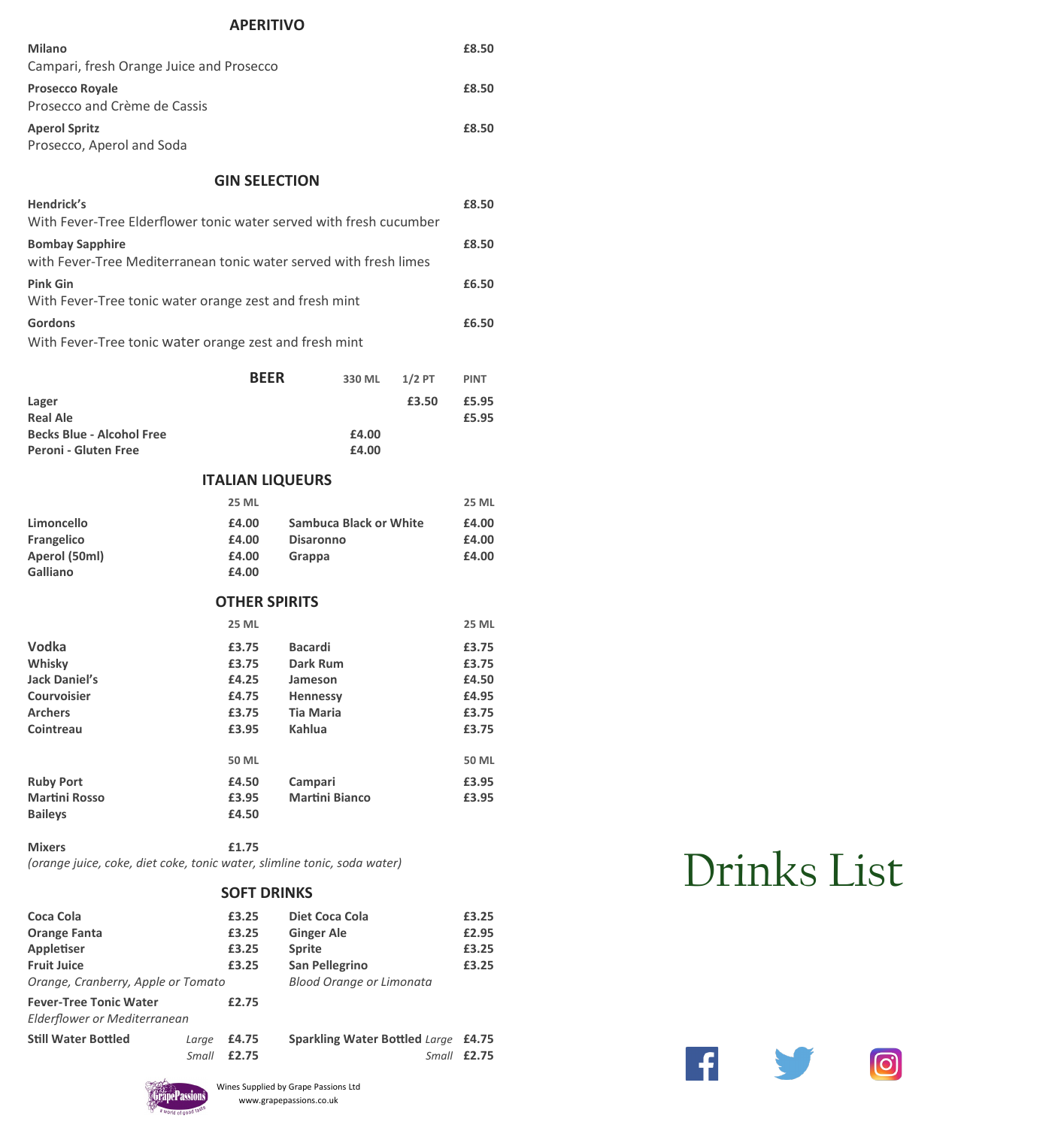# **APERITIVO Milano £8.50** Campari, fresh Orange Juice and Prosecco **Prosecco Royale £8.50** Prosecco and Crème de Cassis **Aperol Spritz £8.50**

# Prosecco, Aperol and Soda

**GIN SELECTION**

| Hendrick's<br>With Fever-Tree Elderflower tonic water served with fresh cucumber            | £8.50 |
|---------------------------------------------------------------------------------------------|-------|
| <b>Bombay Sapphire</b><br>with Fever-Tree Mediterranean tonic water served with fresh limes | £8.50 |
| <b>Pink Gin</b><br>With Fever-Tree tonic water orange zest and fresh mint                   | £6.50 |
| <b>Gordons</b><br>With Fever-Tree tonic water orange zest and fresh mint                    | £6.50 |

|                                  | <b>BEER</b> | 330 ML | $1/2$ PT | <b>PINT</b> |
|----------------------------------|-------------|--------|----------|-------------|
| Lager                            |             |        | £3.50    | £5.95       |
| <b>Real Ale</b>                  |             |        |          | £5.95       |
| <b>Becks Blue - Alcohol Free</b> |             | £4.00  |          |             |
| Peroni - Gluten Free             |             | £4.00  |          |             |

# **ITALIAN LIQUEURS**

|                      | <b>25 ML</b>         |                        | <b>25 ML</b> |
|----------------------|----------------------|------------------------|--------------|
| Limoncello           | £4.00                | Sambuca Black or White | £4.00        |
| <b>Frangelico</b>    | £4.00                | <b>Disaronno</b>       | £4.00        |
| Aperol (50ml)        | £4.00                | Grappa                 | £4.00        |
| <b>Galliano</b>      | £4.00                |                        |              |
|                      | <b>OTHER SPIRITS</b> |                        |              |
|                      | <b>25 ML</b>         |                        | <b>25 ML</b> |
| Vodka                | £3.75                | <b>Bacardi</b>         | £3.75        |
| Whisky               | £3.75                | Dark Rum               | £3.75        |
| Jack Daniel's        | £4.25                | Jameson                | £4.50        |
| <b>Courvoisier</b>   | £4.75                | <b>Hennessy</b>        | £4.95        |
| Archers              | £3.75                | <b>Tia Maria</b>       | £3.75        |
| <b>Cointreau</b>     | £3.95                | Kahlua                 | £3.75        |
|                      | <b>50 ML</b>         |                        | 50 ML        |
| <b>Ruby Port</b>     | £4.50                | Campari                | £3.95        |
| <b>Martini Rosso</b> | £3.95                | <b>Martini Bianco</b>  | £3.95        |
| <b>Baileys</b>       | £4.50                |                        |              |
|                      |                      |                        |              |

**Mixers £1.75** *(orange juice, coke, diet coke, tonic water, slimline tonic, soda water)*

### **SOFT DRINKS**

|                              | £3.25 | Diet Coca Cola                             | £3.25 |
|------------------------------|-------|--------------------------------------------|-------|
|                              | £3.25 | <b>Ginger Ale</b>                          | £2.95 |
|                              | £3.25 | <b>Sprite</b>                              | £3.25 |
|                              | £3.25 | <b>San Pellegrino</b>                      | £3.25 |
|                              |       | <b>Blood Orange or Limonata</b>            |       |
|                              | £2.75 |                                            |       |
| Elderflower or Mediterranean |       |                                            |       |
| Large                        | £4.75 | <b>Sparkling Water Bottled Large £4.75</b> |       |
| Small                        | £2.75 | Small                                      | £2.75 |
|                              |       | Orange, Cranberry, Apple or Tomato         |       |

# Drinks List

W

**6** 

 $\left| \cdot \right|$